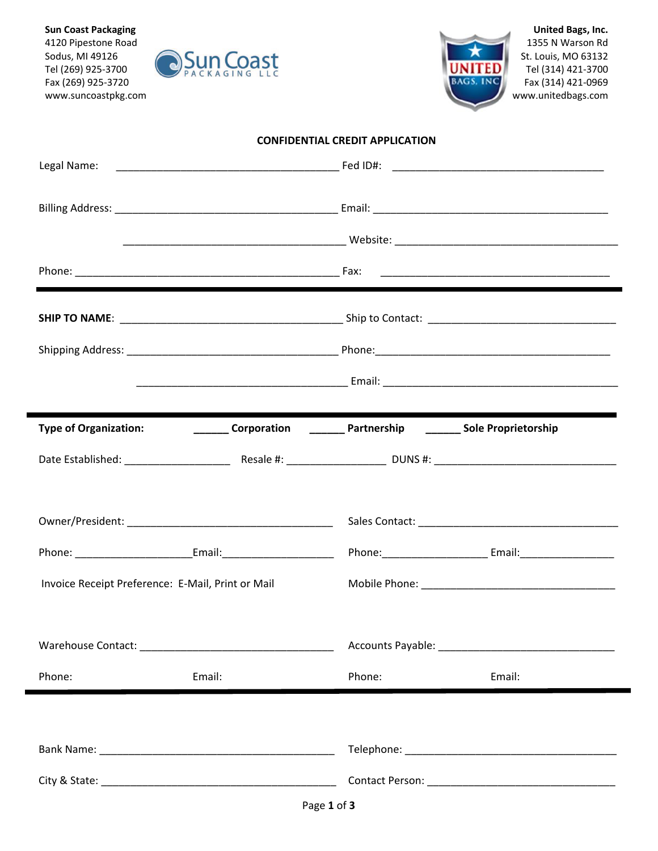**Sun Coast Packaging** 4120 Pipestone Road Sodus, MI 49126 Tel (269) 925-3700 Fax (269) 925-3720 www.suncoastpkg.com





**United Bags, Inc.** 1355 N Warson Rd St. Louis, MO 63132 Tel (314) 421-3700 Fax (314) 421-0969 www.unitedbags.com

| <b>CONFIDENTIAL CREDIT APPLICATION</b> |  |  |
|----------------------------------------|--|--|
|----------------------------------------|--|--|

| Legal Name:                                                                      |        |                                                                      |
|----------------------------------------------------------------------------------|--------|----------------------------------------------------------------------|
|                                                                                  |        |                                                                      |
|                                                                                  |        |                                                                      |
|                                                                                  |        |                                                                      |
|                                                                                  |        |                                                                      |
|                                                                                  |        |                                                                      |
|                                                                                  |        |                                                                      |
| <b>Type of Organization:</b>                                                     |        | <b>Corporation</b> ________ Partnership ________ Sole Proprietorship |
|                                                                                  |        |                                                                      |
|                                                                                  |        |                                                                      |
| Phone: ________________________________Email: __________________________________ |        |                                                                      |
| Invoice Receipt Preference: E-Mail, Print or Mail                                |        |                                                                      |
| Warehouse Contact: Warehouse Contact:                                            |        |                                                                      |
| Phone:<br>Email:                                                                 | Phone: | Email:                                                               |
|                                                                                  |        |                                                                      |
|                                                                                  |        |                                                                      |
|                                                                                  |        |                                                                      |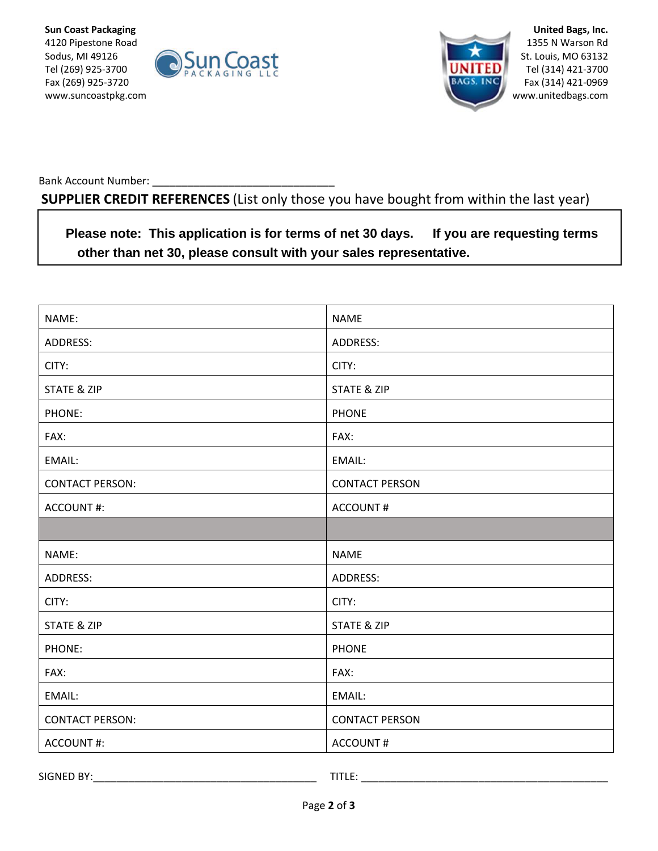



**United Bags, Inc.** 1355 N Warson Rd St. Louis, MO 63132 Tel (314) 421-3700 Fax (314) 421-0969 www.unitedbags.com

Bank Account Number:

**SUPPLIER CREDIT REFERENCES** (List only those you have bought from within the last year)

**Please note: This application is for terms of net 30 days. If you are requesting terms other than net 30, please consult with your sales representative.** 

| NAME:                  | <b>NAME</b>            |
|------------------------|------------------------|
| ADDRESS:               | ADDRESS:               |
| CITY:                  | CITY:                  |
| <b>STATE &amp; ZIP</b> | <b>STATE &amp; ZIP</b> |
| PHONE:                 | <b>PHONE</b>           |
| FAX:                   | FAX:                   |
| EMAIL:                 | EMAIL:                 |
| <b>CONTACT PERSON:</b> | <b>CONTACT PERSON</b>  |
| <b>ACCOUNT#:</b>       | <b>ACCOUNT#</b>        |
|                        |                        |
| NAME:                  | <b>NAME</b>            |
| ADDRESS:               | ADDRESS:               |
| CITY:                  | CITY:                  |
| <b>STATE &amp; ZIP</b> | <b>STATE &amp; ZIP</b> |
| PHONE:                 | <b>PHONE</b>           |
| FAX:                   | FAX:                   |
| EMAIL:                 | EMAIL:                 |
| <b>CONTACT PERSON:</b> | <b>CONTACT PERSON</b>  |
| <b>ACCOUNT#:</b>       | <b>ACCOUNT#</b>        |